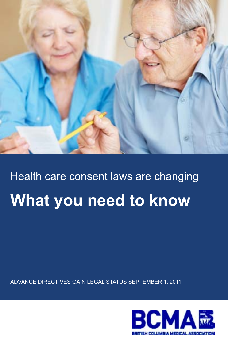

# Health care consent laws are changing **What you need to know**

Advance directives gain legal status September 1, 2011

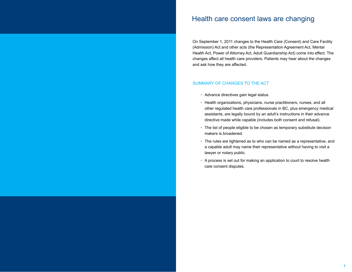#### Health care consent laws are changing

On September 1, 2011 changes to the Health Care (Consent) and Care Facility (Admission) Act and other acts (the Representation Agreement Act, Mental Health Act, Power of Attorney Act, Adult Guardianship Act) come into effect. The changes affect all health care providers. Patients may hear about the changes and ask how they are affected.

#### Summary of changes to the Act

- Advance directives gain legal status.
- Health organizations, physicians, nurse practitioners, nurses, and all other regulated health care professionals in BC, plus emergency medical assistants, are legally bound by an adult's instructions in their advance directive made while capable (includes both consent and refusal).
- The list of people eligible to be chosen as temporary substitute decision makers is broadened.
- The rules are tightened as to who can be named as a representative, and a capable adult may name their representative without having to visit a lawyer or notary public.
- A process is set out for making an application to court to resolve health care consent disputes.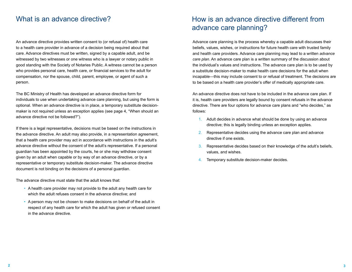An advance directive provides written consent to (or refusal of) health care to a health care provider in advance of a decision being required about that care. Advance directives must be written, signed by a capable adult, and be witnessed by two witnesses or one witness who is a lawyer or notary public in good standing with the Society of Notaries Public. A witness cannot be a person who provides personal care, health care, or financial services to the adult for compensation, nor the spouse, child, parent, employee, or agent of such a person.

The BC Ministry of Health has developed an advance directive form for individuals to use when undertaking advance care planning, but using the form is optional. When an advance directive is in place, a temporary substitute decisionmaker is not required unless an exception applies (see page 4, "When should an advance directive not be followed?").

If there is a legal representative, decisions must be based on the instructions in the advance directive. An adult may also provide, in a representation agreement, that a health care provider may act in accordance with instructions in the adult's advance directive without the consent of the adult's representative. If a personal guardian has been appointed by the courts, he or she may withdraw consent given by an adult when capable or by way of an advance directive, or by a representative or temporary substitute decision-maker. The advance directive document is not binding on the decisions of a personal guardian.

The advance directive must state that the adult knows that:

- A health care provider may not provide to the adult any health care for which the adult refuses consent in the advance directive; and
- A person may not be chosen to make decisions on behalf of the adult in respect of any health care for which the adult has given or refused consent in the advance directive.

# What is an advance directive? How is an advance directive different from advance care planning?

Advance care planning is the process whereby a capable adult discusses their beliefs, values, wishes, or instructions for future health care with trusted family and health care providers. Advance care planning may lead to a written *advance care plan*. An advance care plan is a written summary of the discussion about the individual's values and instructions. The advance care plan is to be used by a substitute decision-maker to make health care decisions for the adult when incapable—this may include consent to or refusal of treatment. The decisions are to be based on a health care provider's offer of medically appropriate care.

An advance directive does not have to be included in the advance care plan. If it is, health care providers are legally bound by consent refusals in the advance directive. There are four options for advance care plans and "who decides," as follows:

- 1. Adult decides in advance what should be done by using an advance directive; this is legally binding unless an exception applies.
- 2. Representative decides using the advance care plan and advance directive if one exists.
- 3. Representative decides based on their knowledge of the adult's beliefs, values, and wishes.
- 4. Temporary substitute decision-maker decides.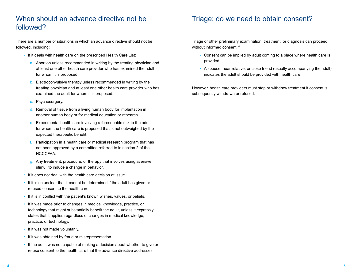# When should an advance directive not be followed?

There are a number of situations in which an advance directive should not be followed, including:

- If it deals with health care on the prescribed Health Care List:
	- a. Abortion unless recommended in writing by the treating physician and at least one other health care provider who has examined the adult for whom it is proposed.
	- b. Electroconvulsive therapy unless recommended in writing by the treating physician and at least one other health care provider who has examined the adult for whom it is proposed.
	- c. Psychosurgery.
	- d. Removal of tissue from a living human body for implantation in another human body or for medical education or research.
	- e. Experimental health care involving a foreseeable risk to the adult for whom the health care is proposed that is not outweighed by the expected therapeutic benefit.
	- f. Participation in a health care or medical research program that has not been approved by a committee referred to in section 2 of the HCCCFAA.
	- g. Any treatment, procedure, or therapy that involves using aversive stimuli to induce a change in behavior.
- If it does not deal with the health care decision at issue.
- If it is so unclear that it cannot be determined if the adult has given or refused consent to the health care.
- If it is in conflict with the patient's known wishes, values, or beliefs.
- If it was made prior to changes in medical knowledge, practice, or technology that might substantially benefit the adult, unless it expressly states that it applies regardless of changes in medical knowledge, practice, or technology.
- If it was not made voluntarily.
- If it was obtained by fraud or misrepresentation.
- If the adult was not capable of making a decision about whether to give or refuse consent to the health care that the advance directive addresses.

#### Triage: do we need to obtain consent?

Triage or other preliminary examination, treatment, or diagnosis can proceed without informed consent if:

- Consent can be implied by adult coming to a place where health care is provided.
- A spouse, near relative, or close friend (usually accompanying the adult) indicates the adult should be provided with health care.

However, health care providers must stop or withdraw treatment if consent is subsequently withdrawn or refused.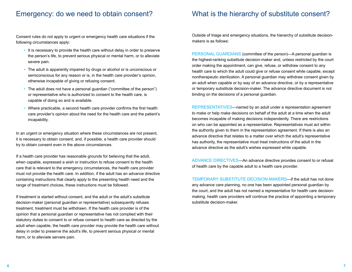#### Emergency: do we need to obtain consent?

Consent rules do not apply to urgent or emergency health care situations if the following circumstances apply:

- It is necessary to provide the health care without delay in order to preserve the person's life, to prevent serious physical or mental harm, or to alleviate severe pain.
- The adult is apparently impaired by drugs or alcohol or is unconscious or semiconscious for any reason or is, in the health care provider's opinion, otherwise incapable of giving or refusing consent.
- The adult does not have a personal guardian ("committee of the person") or representative who is authorized to consent to the health care, is capable of doing so and is available.
- Where practicable, a second health care provider confirms the first health care provider's opinion about the need for the health care and the patient's incapability.

In an urgent or emergency situation where these circumstances are not present, it is necessary to obtain consent, and, if possible, a health care provider should try to obtain consent even in the above circumstances.

If a health care provider has reasonable grounds for believing that the adult, when capable, expressed a wish or instruction to refuse consent to the health care that is relevant to the emergency circumstances, the health care provider must not provide the health care. In addition, if the adult has an advance directive containing instructions that clearly apply to the presenting health need and the range of treatment choices, these instructions must be followed.

If treatment is started without consent, and the adult or the adult's substitute decision-maker (personal guardian or representative) subsequently refuses treatment, treatment must be withdrawn. If the health care provider is of the opinion that a personal guardian or representative has not complied with their statutory duties to consent to or refuse consent to health care as directed by the adult when capable, the health care provider may provide the health care without delay in order to preserve the adult's life, to prevent serious physical or mental harm, or to alleviate servere pain.

#### What is the hierarchy of substitute consent?

Outside of triage and emergency situations, the hierarchy of substitute decisionmakers is as follows:

PERSONAL GUARDIANS (committee of the person)—A personal quardian is the highest-ranking substitute decision-maker and, unless restricted by the court order making the appointment, can give, refuse, or withdraw consent to any health care to which the adult could give or refuse consent while capable, except nontherapeutic sterilization. A personal guardian may withdraw consent given by an adult when capable or by way of an advance directive, or by a representative or temporary substitute decision-maker. The advance directive document is not binding on the decisions of a personal guardian.

REPRESENTATIVES—named by an adult under a representation agreement to make or help make decisions on behalf of the adult at a time when the adult becomes incapable of making decisions independently. There are restrictions on who can be appointed as a representative. Representatives must act within the authority given to them in the representation agreement. If there is also an advance directive that relates to a matter over which the adult's representative has authority, the representative must treat instructions of the adult in the advance directive as the adult's wishes expressed while capable.

Advance directives—An advance directive provides consent to or refusal of health care by the capable adult to a health care provider.

TEMPORARY SUBSTITUTE DECISION-MAKERS—if the adult has not done any advance care planning, no one has been appointed personal guardian by the court, and the adult has not named a representative for health care decisionmaking, health care providers will continue the practice of appointing a temporary substitute decision-maker.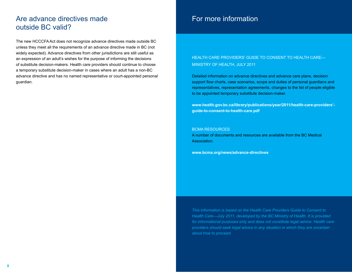### Are advance directives made outside BC valid?

The new HCCCFA Act does not recognize advance directives made outside BC unless they meet all the requirements of an advance directive made in BC (not widely expected). Advance directives from other jurisdictions are still useful as an expression of an adult's wishes for the purpose of informing the decisions of substitute decision-makers. Health care providers should continue to choose a temporary substitute decision-maker in cases where an adult has a non-BC advance directive and has no named representative or court-appointed personal guardian.

# For more information

#### Health Care Providers' Guide to Consent to Health Care— Ministry of Health, July 2011

Detailed information on advance directives and advance care plans, decision support flow charts, case scenarios, scope and duties of personal guardians and representatives, representation agreements, changes to the list of people eligible to be appointed temporary substitute decision-maker.

**www.health.gov.bc.ca/library/publications/year/2011/health-care-providers' guide-to-consent-to-health-care.pdf**

#### BCMA resources

A number of documents and resources are available from the BC Medical Association.

**www.bcma.org/news/advance-directives**

*This information is based on the Health Care Providers Guide to Consent to Health Care—July 2011, developed by the BC Ministry of Health. It is provided*  for informational purposes only and does not constitute legal advice. Health care *providers should seek legal advice in any situation in which they are uncertain about how to proceed.*